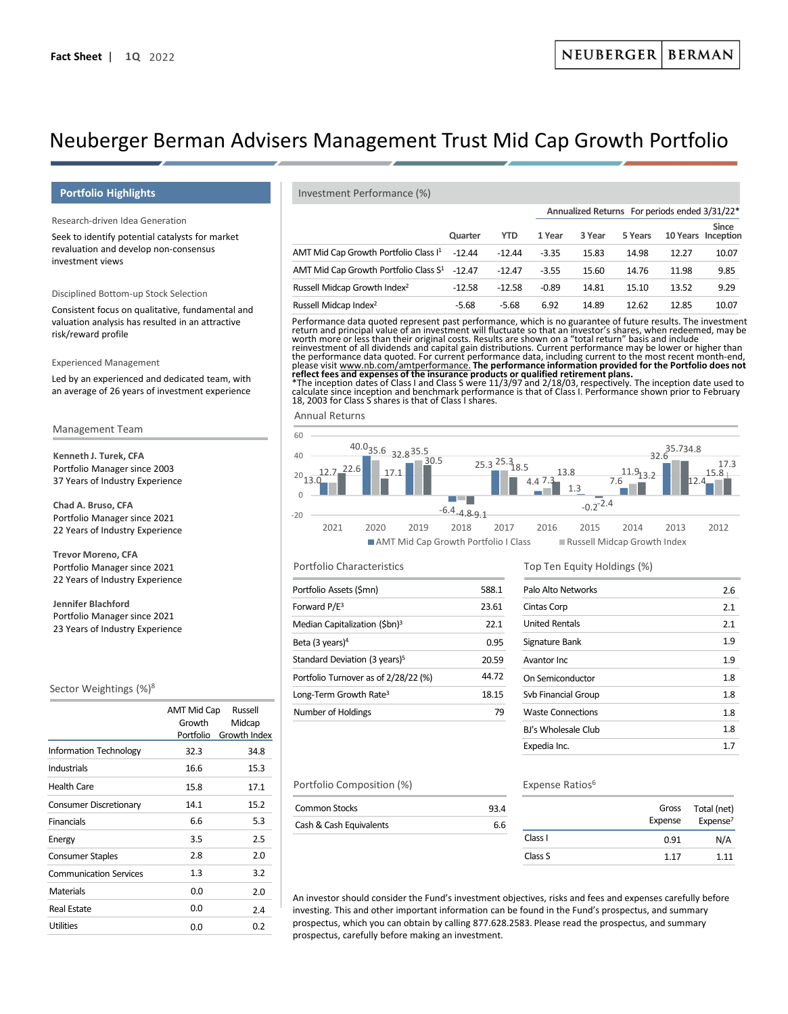# Neuberger Berman Advisers Management Trust Mid Cap Growth Portfolio

# **Portfolio Highlights**

Research-driven Idea Generation

Seek to identify potential catalysts for market revaluation and develop non-consensus investment views

## Disciplined Bottom-up Stock Selection

Consistent focus on qualitative, fundamental and valuation analysis has resulted in an attractive risk/reward profile

#### Experienced Management

Led by an experienced and dedicated team, with an average of 26 years of investment experience

#### Management Team

**Kenneth J. Turek, CFA** Portfolio Manager since 2003 37 Years of Industry Experience

**Chad A. Bruso, CFA**  Portfolio Manager since 2021 22 Years of Industry Experience

**Trevor Moreno, CFA**  Portfolio Manager since 2021 22 Years of Industry Experience

**Jennifer Blachford** Portfolio Manager since 2021 23 Years of Industry Experience

#### Sector Weightings (%)8

|                               | AMT Mid Cap<br>Growth<br>Portfolio | Russell<br>Midcap<br>Growth Index |
|-------------------------------|------------------------------------|-----------------------------------|
| <b>Information Technology</b> | 32.3                               | 34.8                              |
| Industrials                   | 16.6                               | 15.3                              |
| Health Care                   | 15.8                               | 17.1                              |
| Consumer Discretionary        | 14.1                               | 15.2                              |
| <b>Financials</b>             | 6.6                                | 5.3                               |
| Energy                        | 3.5                                | 2.5                               |
| <b>Consumer Staples</b>       | 2.8                                | 2.0                               |
| <b>Communication Services</b> | 1.3                                | 3.2                               |
| <b>Materials</b>              | 0.0                                | 2.0                               |
| Real Estate                   | 0.0                                | 7.4                               |
| <b>Utilities</b>              | 0.0                                | 0.2                               |
|                               |                                    |                                   |

#### Investment Performance (%)

|                                                          |          |            |         |        | Annualized Returns For periods ended 3/31/22 <sup>*</sup> |       |                                    |
|----------------------------------------------------------|----------|------------|---------|--------|-----------------------------------------------------------|-------|------------------------------------|
|                                                          | Quarter  | <b>YTD</b> | 1 Year  | 3 Year | 5 Years                                                   |       | <b>Since</b><br>10 Years Inception |
| AMT Mid Cap Growth Portfolio Class I <sup>1</sup>        | $-12.44$ | $-12.44$   | $-3.35$ | 15.83  | 14.98                                                     | 12.27 | 10.07                              |
| AMT Mid Cap Growth Portfolio Class S <sup>1</sup> -12.47 |          | $-12.47$   | $-3.55$ | 15.60  | 14.76                                                     | 11.98 | 9.85                               |
| Russell Midcap Growth Index <sup>2</sup>                 | $-12.58$ | $-12.58$   | $-0.89$ | 14.81  | 15.10                                                     | 13.52 | 9.29                               |
| Russell Midcap Index <sup>2</sup>                        | $-5.68$  | $-5.68$    | 6.92    | 14.89  | 12.62                                                     | 12.85 | 10.07                              |

Performance data quoted represent past performance, which is no guarantee of future results. The investment<br>return and principal value of an investment will fluctuate so that an investor's shares, when redeemed, may be<br>wor

reinvestment of all dividends and capital gain distributions. Current performance may be lower or higher than the performance data quoted. For current performance data, including current to the most recent month-end, please visit www.nb.com/amtperformance. **The performance information provided for the Portfolio does not** 

**reflect fees and expenses of the insurance products or qualified retirement plans.**<br>\*The inception dates of Class I and Class S were 11/3/97 and 2/18/03, respectively. The inception date used to<br>calculate since inception 18, 2003 for Class S shares is that of Class I shares.

Annual Returns



AMT Mid Cap Growth Portfolio I Class Russell Midcap Growth Index

## Portfolio Characteristics

| Portfolio Assets (\$mn)                   | 588.1 |
|-------------------------------------------|-------|
| Forward $P/E^3$                           | 23.61 |
| Median Capitalization (\$bn) <sup>3</sup> | 22.1  |
| Beta $(3 \text{ years})^4$                | 0.95  |
| Standard Deviation (3 years) <sup>5</sup> | 20.59 |
| Portfolio Turnover as of 2/28/22 (%)      | 44.72 |
| Long-Term Growth Rate <sup>3</sup>        | 18.15 |
| Number of Holdings                        | 79    |

## Top Ten Equity Holdings (%)

| Palo Alto Networks       | 2.6 |
|--------------------------|-----|
| Cintas Corp              | 2.1 |
| <b>United Rentals</b>    | 2.1 |
| Signature Bank           | 1.9 |
| Avantor Inc              | 1.9 |
| On Semiconductor         | 1.8 |
| Svb Financial Group      | 1.8 |
| <b>Waste Connections</b> | 1.8 |
| BJ's Wholesale Club      | 1.8 |
| Expedia Inc.             | 17  |
|                          |     |

#### Portfolio Composition (%)

| Common Stocks           | 93.4 |
|-------------------------|------|
| Cash & Cash Equivalents | 66   |

#### Expense Ratios<sup>6</sup>

|         | Gross<br>Expense | Total (net)<br>Expense <sup>7</sup> |
|---------|------------------|-------------------------------------|
| Class I | 0.91             | N/A                                 |
| Class S | 1.17             | 1.11                                |

An investor should consider the Fund's investment objectives, risks and fees and expenses carefully before investing. This and other important information can be found in the Fund's prospectus, and summary prospectus, which you can obtain by calling 877.628.2583. Please read the prospectus, and summary prospectus, carefully before making an investment.